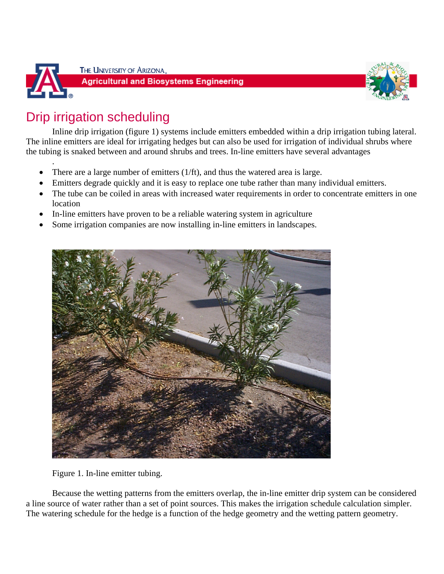

.

THE UNIVERSITY OF ARIZONA.





# Drip irrigation scheduling

Inline drip irrigation (figure 1) systems include emitters embedded within a drip irrigation tubing lateral. The inline emitters are ideal for irrigating hedges but can also be used for irrigation of individual shrubs where the tubing is snaked between and around shrubs and trees. In-line emitters have several advantages

- There are a large number of emitters (1/ft), and thus the watered area is large.
- Emitters degrade quickly and it is easy to replace one tube rather than many individual emitters.
- The tube can be coiled in areas with increased water requirements in order to concentrate emitters in one location
- In-line emitters have proven to be a reliable watering system in agriculture
- Some irrigation companies are now installing in-line emitters in landscapes.



Figure 1. In-line emitter tubing.

Because the wetting patterns from the emitters overlap, the in-line emitter drip system can be considered a line source of water rather than a set of point sources. This makes the irrigation schedule calculation simpler. The watering schedule for the hedge is a function of the hedge geometry and the wetting pattern geometry.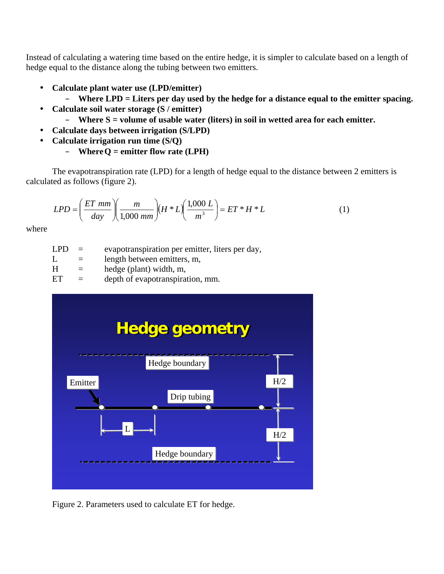Instead of calculating a watering time based on the entire hedge, it is simpler to calculate based on a length of hedge equal to the distance along the tubing between two emitters.

- **Calculate plant water use (LPD/emitter)** 
	- **Where LPD = Liters per day used by the hedge for a distance equal to the emitter spacing.**
- **Calculate soil water storage (S / emitter)** 
	- **Where S = volume of usable water (liters) in soil in wetted area for each emitter.**
- **Calculate days between irrigation (S/LPD)**
- **Calculate irrigation run time (S/Q)** 
	- **Where Q = emitter flow rate (LPH)**

The evapotranspiration rate (LPD) for a length of hedge equal to the distance between 2 emitters is calculated as follows (figure 2).

$$
LPD = \left(\frac{ET \, \, mm}{\, \, day}\right)\left(\frac{m}{1,000 \, \, mm}\right)\left(H \,^*L\right)\left(\frac{1,000 \, L}{m^3}\right) = ET \,^*H \,^*L \tag{1}
$$

where

- $LPD =$  evapotranspiration per emitter, liters per day,
- $L =$  length between emitters, m,
- $H =$  hedge (plant) width, m,
- $ET =$  depth of evapotranspiration, mm.



Figure 2. Parameters used to calculate ET for hedge.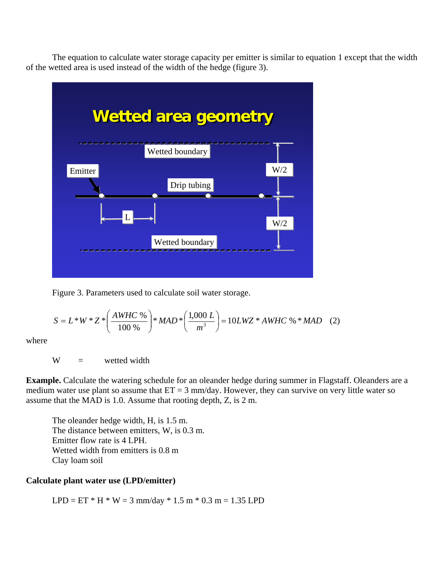The equation to calculate water storage capacity per emitter is similar to equation 1 except that the width of the wetted area is used instead of the width of the hedge (figure 3).



Figure 3. Parameters used to calculate soil water storage.

$$
S = L*W*Z*\left(\frac{AWHC\%}{100\%}\right)*MAD*\left(\frac{1,000 L}{m^3}\right) = 10LWZ*AWHC\%*MAD
$$
 (2)

where

 $W =$  wetted width

**Example.** Calculate the watering schedule for an oleander hedge during summer in Flagstaff. Oleanders are a medium water use plant so assume that  $ET = 3$  mm/day. However, they can survive on very little water so assume that the MAD is 1.0. Assume that rooting depth, Z, is 2 m.

The oleander hedge width, H, is 1.5 m. The distance between emitters, W, is 0.3 m. Emitter flow rate is 4 LPH. Wetted width from emitters is 0.8 m Clay loam soil

#### **Calculate plant water use (LPD/emitter)**

LPD =  $ET * H * W = 3$  mm/day  $* 1.5$  m  $* 0.3$  m = 1.35 LPD